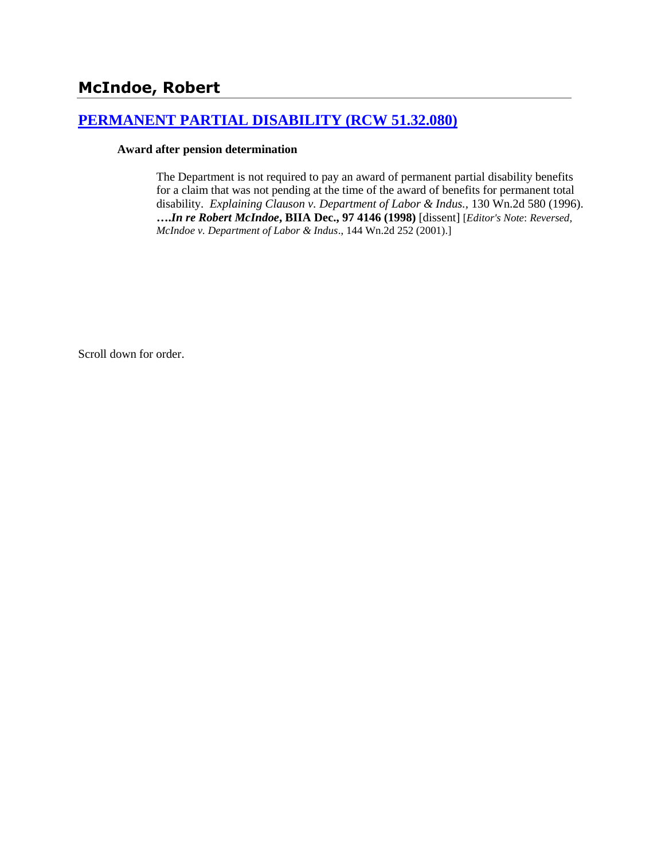## **McIndoe, Robert**

### **[PERMANENT PARTIAL DISABILITY \(RCW 51.32.080\)](http://www.biia.wa.gov/SDSubjectIndex.html#PERMANENT_PARTIAL_DISABILITY)**

### **Award after pension determination**

The Department is not required to pay an award of permanent partial disability benefits for a claim that was not pending at the time of the award of benefits for permanent total disability. *Explaining Clauson v. Department of Labor & Indus.,* 130 Wn.2d 580 (1996). **….***In re Robert McIndoe***, BIIA Dec., 97 4146 (1998)** [dissent] [*Editor's Note*: *Reversed, McIndoe v. Department of Labor & Indus*., 144 Wn.2d 252 (2001).]

Scroll down for order.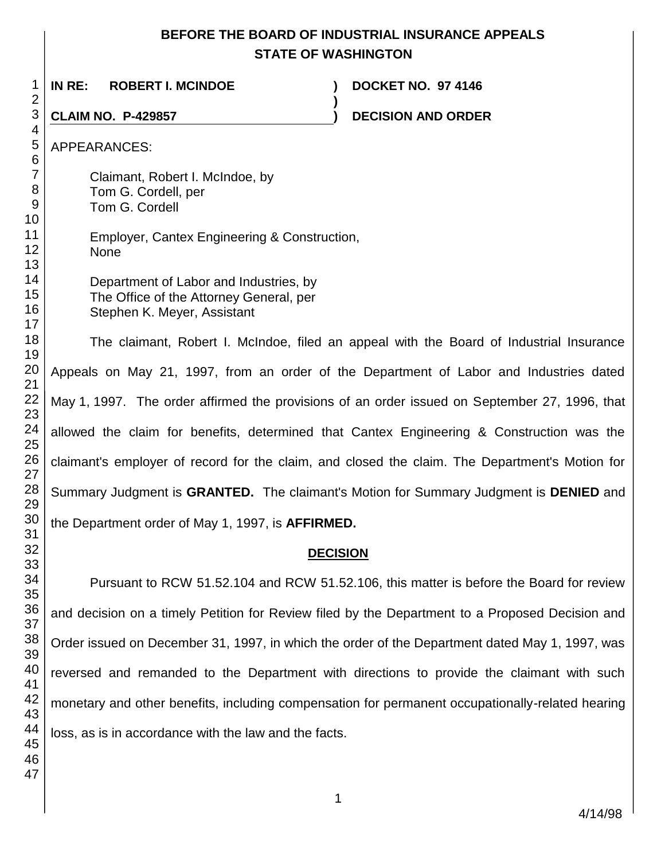### **BEFORE THE BOARD OF INDUSTRIAL INSURANCE APPEALS STATE OF WASHINGTON**

**)**

 **IN RE: ROBERT I. MCINDOE ) DOCKET NO. 97 4146**

**CLAIM NO. P-429857 ) DECISION AND ORDER** 

APPEARANCES:

Claimant, Robert I. McIndoe, by Tom G. Cordell, per Tom G. Cordell

- Employer, Cantex Engineering & Construction, None
- Department of Labor and Industries, by The Office of the Attorney General, per Stephen K. Meyer, Assistant

The claimant, Robert I. McIndoe, filed an appeal with the Board of Industrial Insurance Appeals on May 21, 1997, from an order of the Department of Labor and Industries dated May 1, 1997. The order affirmed the provisions of an order issued on September 27, 1996, that allowed the claim for benefits, determined that Cantex Engineering & Construction was the claimant's employer of record for the claim, and closed the claim. The Department's Motion for Summary Judgment is **GRANTED.** The claimant's Motion for Summary Judgment is **DENIED** and the Department order of May 1, 1997, is **AFFIRMED.**

### **DECISION**

Pursuant to RCW 51.52.104 and RCW 51.52.106, this matter is before the Board for review and decision on a timely Petition for Review filed by the Department to a Proposed Decision and Order issued on December 31, 1997, in which the order of the Department dated May 1, 1997, was reversed and remanded to the Department with directions to provide the claimant with such monetary and other benefits, including compensation for permanent occupationally-related hearing loss, as is in accordance with the law and the facts.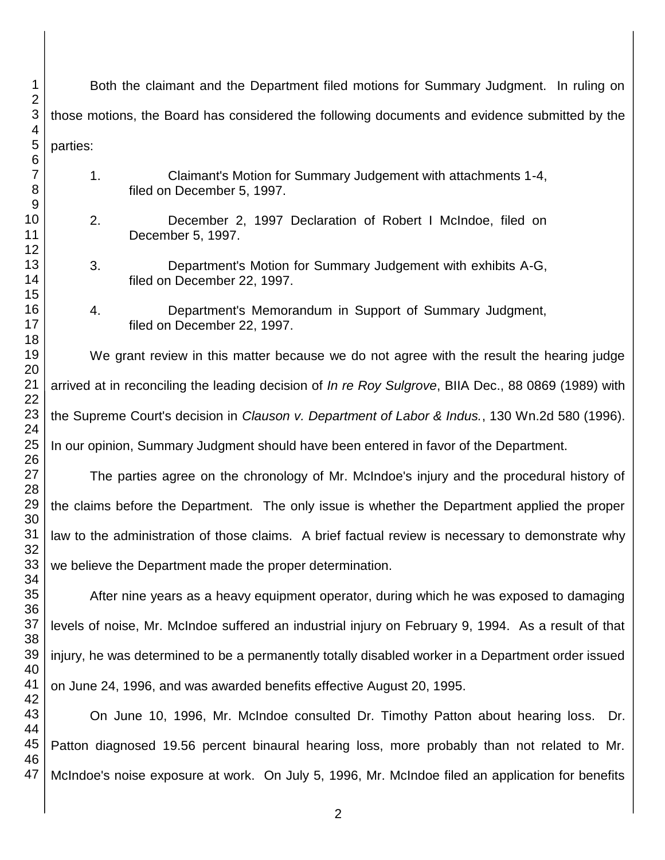| 1<br>$\overline{2}$      | Both the claimant and the Department filed motions for Summary Judgment. In ruling on                |                                                                                             |
|--------------------------|------------------------------------------------------------------------------------------------------|---------------------------------------------------------------------------------------------|
| $\sqrt{3}$<br>4          | those motions, the Board has considered the following documents and evidence submitted by the        |                                                                                             |
| 5<br>$\,6$               | parties:                                                                                             |                                                                                             |
| $\overline{7}$<br>8<br>9 | 1.                                                                                                   | Claimant's Motion for Summary Judgement with attachments 1-4,<br>filed on December 5, 1997. |
| 10<br>11<br>12           | 2.                                                                                                   | December 2, 1997 Declaration of Robert I McIndoe, filed on<br>December 5, 1997.             |
| 13<br>14                 | 3.                                                                                                   | Department's Motion for Summary Judgement with exhibits A-G,<br>filed on December 22, 1997. |
| 15<br>16<br>17           | 4.                                                                                                   | Department's Memorandum in Support of Summary Judgment,<br>filed on December 22, 1997.      |
| 18<br>19<br>20           |                                                                                                      | We grant review in this matter because we do not agree with the result the hearing judge    |
| 21<br>22                 | arrived at in reconciling the leading decision of In re Roy Sulgrove, BIIA Dec., 88 0869 (1989) with |                                                                                             |
| 23<br>24                 | the Supreme Court's decision in Clauson v. Department of Labor & Indus., 130 Wn.2d 580 (1996).       |                                                                                             |
| 25<br>26                 | In our opinion, Summary Judgment should have been entered in favor of the Department.                |                                                                                             |
| 27<br>28                 | The parties agree on the chronology of Mr. McIndoe's injury and the procedural history of            |                                                                                             |
| 29<br>30                 | the claims before the Department. The only issue is whether the Department applied the proper        |                                                                                             |
| 31<br>32                 | law to the administration of those claims. A brief factual review is necessary to demonstrate why    |                                                                                             |
| 33<br>34                 | we believe the Department made the proper determination.                                             |                                                                                             |
| 35<br>36                 | After nine years as a heavy equipment operator, during which he was exposed to damaging              |                                                                                             |
| 37<br>38                 | levels of noise, Mr. McIndoe suffered an industrial injury on February 9, 1994. As a result of that  |                                                                                             |
| 39<br>40                 | injury, he was determined to be a permanently totally disabled worker in a Department order issued   |                                                                                             |
| 41<br>42                 | on June 24, 1996, and was awarded benefits effective August 20, 1995.                                |                                                                                             |
| 43<br>44                 | On June 10, 1996, Mr. McIndoe consulted Dr. Timothy Patton about hearing loss. Dr.                   |                                                                                             |
| 45<br>46                 | Patton diagnosed 19.56 percent binaural hearing loss, more probably than not related to Mr.          |                                                                                             |
| 47                       | McIndoe's noise exposure at work. On July 5, 1996, Mr. McIndoe filed an application for benefits     |                                                                                             |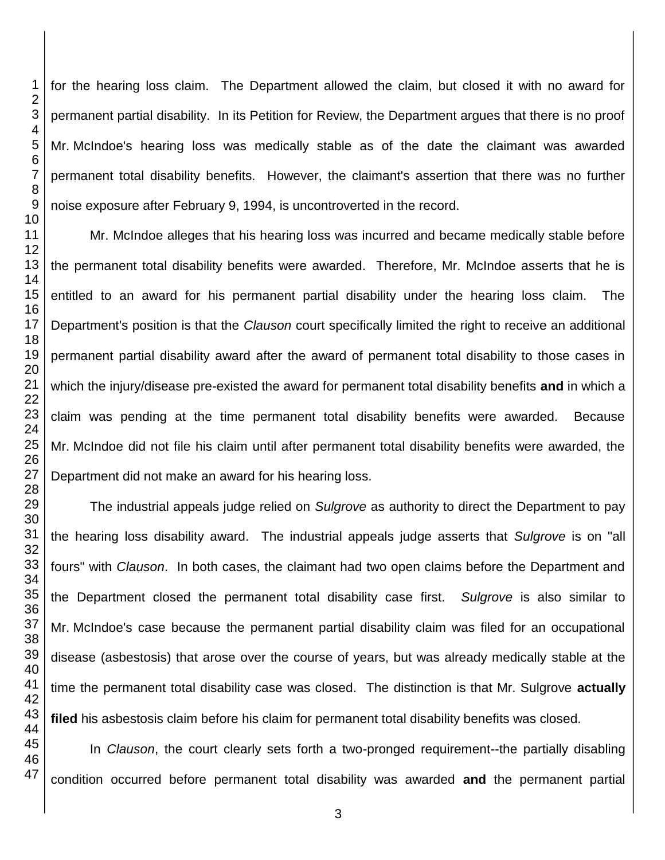for the hearing loss claim. The Department allowed the claim, but closed it with no award for permanent partial disability. In its Petition for Review, the Department argues that there is no proof Mr. McIndoe's hearing loss was medically stable as of the date the claimant was awarded permanent total disability benefits. However, the claimant's assertion that there was no further noise exposure after February 9, 1994, is uncontroverted in the record. Mr. McIndoe alleges that his hearing loss was incurred and became medically stable before the permanent total disability benefits were awarded. Therefore, Mr. McIndoe asserts that he is entitled to an award for his permanent partial disability under the hearing loss claim. The Department's position is that the *Clauson* court specifically limited the right to receive an additional permanent partial disability award after the award of permanent total disability to those cases in which the injury/disease pre-existed the award for permanent total disability benefits **and** in which a

claim was pending at the time permanent total disability benefits were awarded. Because Mr. McIndoe did not file his claim until after permanent total disability benefits were awarded, the Department did not make an award for his hearing loss.

The industrial appeals judge relied on *Sulgrove* as authority to direct the Department to pay the hearing loss disability award. The industrial appeals judge asserts that *Sulgrove* is on "all fours" with *Clauson*. In both cases, the claimant had two open claims before the Department and the Department closed the permanent total disability case first. *Sulgrove* is also similar to Mr. McIndoe's case because the permanent partial disability claim was filed for an occupational disease (asbestosis) that arose over the course of years, but was already medically stable at the time the permanent total disability case was closed. The distinction is that Mr. Sulgrove **actually filed** his asbestosis claim before his claim for permanent total disability benefits was closed.

In *Clauson*, the court clearly sets forth a two-pronged requirement--the partially disabling condition occurred before permanent total disability was awarded **and** the permanent partial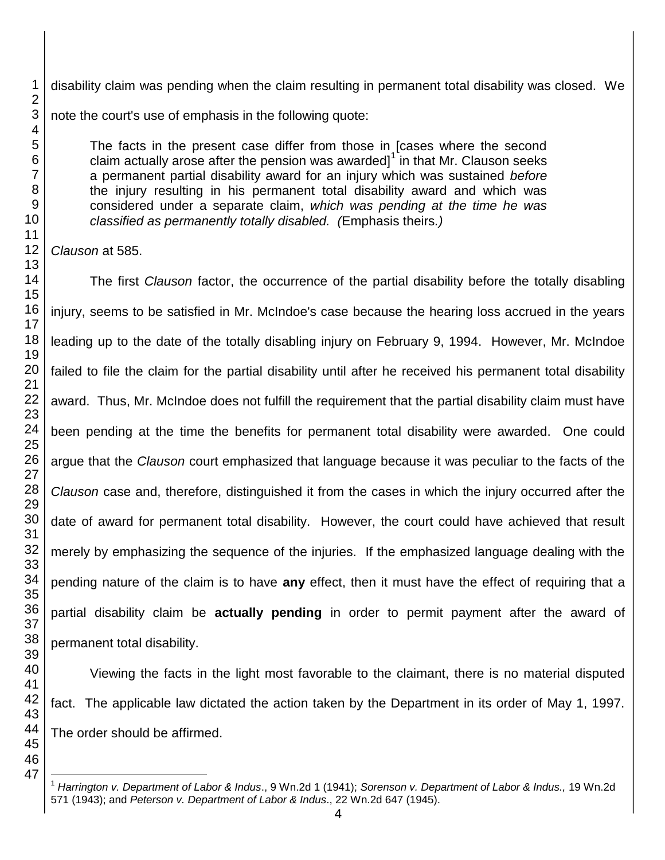disability claim was pending when the claim resulting in permanent total disability was closed. We note the court's use of emphasis in the following quote:

The facts in the present case differ from those in [cases where the second claim actually arose after the pension was awarded]<sup>1</sup> in that Mr. Clauson seeks a permanent partial disability award for an injury which was sustained *before* the injury resulting in his permanent total disability award and which was considered under a separate claim, *which was pending at the time he was classified as permanently totally disabled. (*Emphasis theirs*.)*

*Clauson* at 585.

 

 The first *Clauson* factor, the occurrence of the partial disability before the totally disabling injury, seems to be satisfied in Mr. McIndoe's case because the hearing loss accrued in the years leading up to the date of the totally disabling injury on February 9, 1994. However, Mr. McIndoe failed to file the claim for the partial disability until after he received his permanent total disability award. Thus, Mr. McIndoe does not fulfill the requirement that the partial disability claim must have been pending at the time the benefits for permanent total disability were awarded. One could argue that the *Clauson* court emphasized that language because it was peculiar to the facts of the *Clauson* case and, therefore, distinguished it from the cases in which the injury occurred after the date of award for permanent total disability. However, the court could have achieved that result merely by emphasizing the sequence of the injuries. If the emphasized language dealing with the pending nature of the claim is to have **any** effect, then it must have the effect of requiring that a partial disability claim be **actually pending** in order to permit payment after the award of permanent total disability.

Viewing the facts in the light most favorable to the claimant, there is no material disputed fact. The applicable law dictated the action taken by the Department in its order of May 1, 1997. The order should be affirmed.

 $\overline{a}$  *Harrington v. Department of Labor & Indus*., 9 Wn.2d 1 (1941); *Sorenson v. Department of Labor & Indus.,* 19 Wn.2d 571 (1943); and *Peterson v. Department of Labor & Indus*., 22 Wn.2d 647 (1945).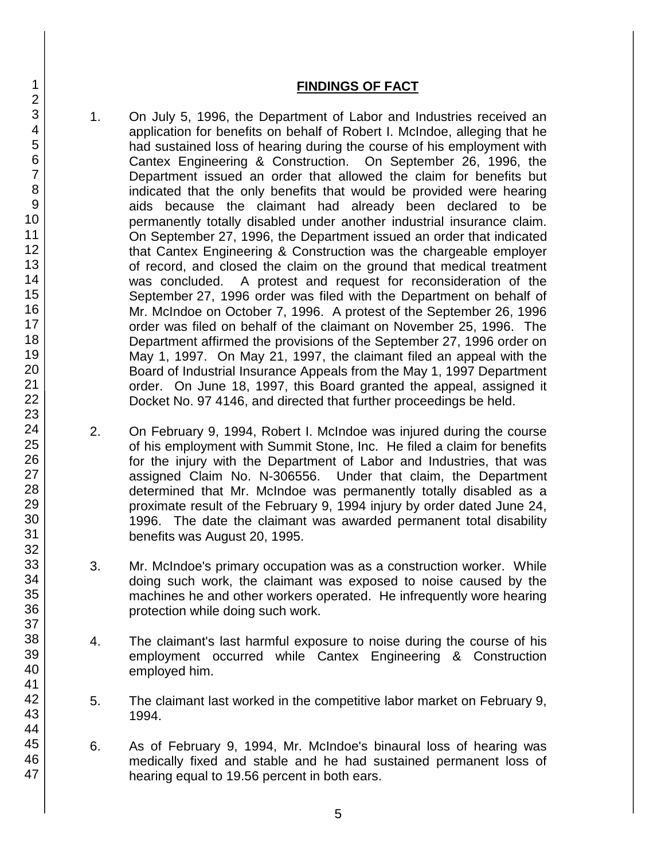### **FINDINGS OF FACT**

- 1. On July 5, 1996, the Department of Labor and Industries received an application for benefits on behalf of Robert I. McIndoe, alleging that he had sustained loss of hearing during the course of his employment with Cantex Engineering & Construction. On September 26, 1996, the Department issued an order that allowed the claim for benefits but indicated that the only benefits that would be provided were hearing aids because the claimant had already been declared to be permanently totally disabled under another industrial insurance claim. On September 27, 1996, the Department issued an order that indicated that Cantex Engineering & Construction was the chargeable employer of record, and closed the claim on the ground that medical treatment was concluded. A protest and request for reconsideration of the September 27, 1996 order was filed with the Department on behalf of Mr. McIndoe on October 7, 1996. A protest of the September 26, 1996 order was filed on behalf of the claimant on November 25, 1996. The Department affirmed the provisions of the September 27, 1996 order on May 1, 1997. On May 21, 1997, the claimant filed an appeal with the Board of Industrial Insurance Appeals from the May 1, 1997 Department order. On June 18, 1997, this Board granted the appeal, assigned it Docket No. 97 4146, and directed that further proceedings be held.
- 2. On February 9, 1994, Robert I. McIndoe was injured during the course of his employment with Summit Stone, Inc. He filed a claim for benefits for the injury with the Department of Labor and Industries, that was assigned Claim No. N-306556. Under that claim, the Department determined that Mr. McIndoe was permanently totally disabled as a proximate result of the February 9, 1994 injury by order dated June 24, 1996. The date the claimant was awarded permanent total disability benefits was August 20, 1995.
- 3. Mr. McIndoe's primary occupation was as a construction worker. While doing such work, the claimant was exposed to noise caused by the machines he and other workers operated. He infrequently wore hearing protection while doing such work.
- 4. The claimant's last harmful exposure to noise during the course of his employment occurred while Cantex Engineering & Construction employed him.
- 5. The claimant last worked in the competitive labor market on February 9, 1994.
- 6. As of February 9, 1994, Mr. McIndoe's binaural loss of hearing was medically fixed and stable and he had sustained permanent loss of hearing equal to 19.56 percent in both ears.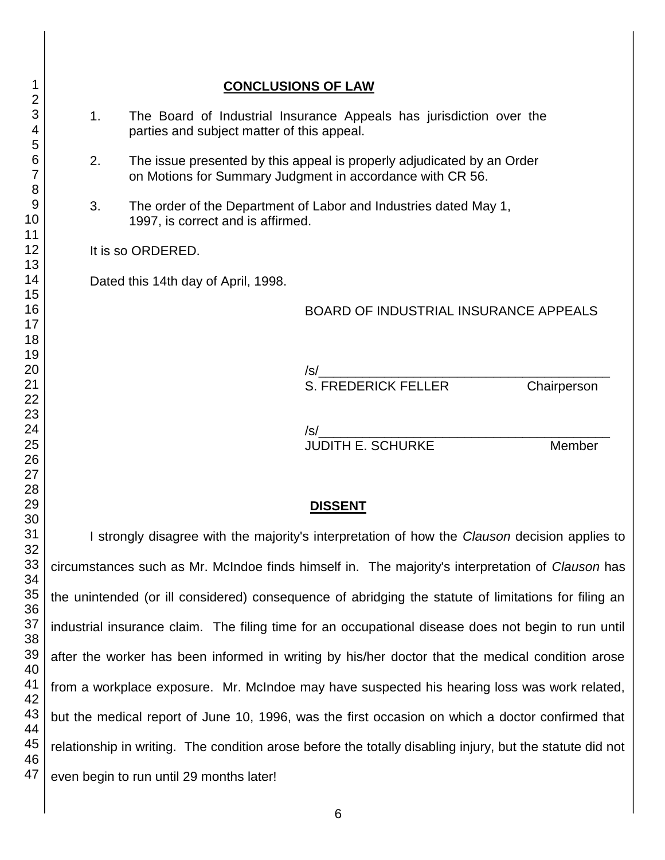# **CONCLUSIONS OF LAW** 1. The Board of Industrial Insurance Appeals has jurisdiction over the parties and subject matter of this appeal. 2. The issue presented by this appeal is properly adjudicated by an Order on Motions for Summary Judgment in accordance with CR 56. 3. The order of the Department of Labor and Industries dated May 1, 1997, is correct and is affirmed. It is so ORDERED. Dated this 14th day of April, 1998. BOARD OF INDUSTRIAL INSURANCE APPEALS /s/\_\_\_\_\_\_\_\_\_\_\_\_\_\_\_\_\_\_\_\_\_\_\_\_\_\_\_\_\_\_\_\_\_\_\_\_\_\_\_\_ S. FREDERICK FELLER Chairperson /s/\_\_\_\_\_\_\_\_\_\_\_\_\_\_\_\_\_\_\_\_\_\_\_\_\_\_\_\_\_\_\_\_\_\_\_\_\_\_\_\_ JUDITH E. SCHURKE Member **DISSENT** I strongly disagree with the majority's interpretation of how the *Clauson* decision applies to

circumstances such as Mr. McIndoe finds himself in. The majority's interpretation of *Clauson* has the unintended (or ill considered) consequence of abridging the statute of limitations for filing an industrial insurance claim. The filing time for an occupational disease does not begin to run until after the worker has been informed in writing by his/her doctor that the medical condition arose from a workplace exposure. Mr. McIndoe may have suspected his hearing loss was work related, but the medical report of June 10, 1996, was the first occasion on which a doctor confirmed that relationship in writing. The condition arose before the totally disabling injury, but the statute did not even begin to run until 29 months later!